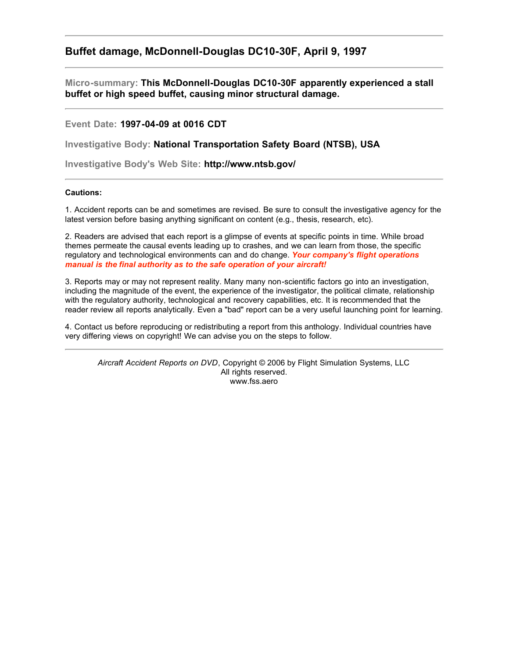## **Buffet damage, McDonnell-Douglas DC10-30F, April 9, 1997**

**Micro-summary: This McDonnell-Douglas DC10-30F apparently experienced a stall buffet or high speed buffet, causing minor structural damage.**

## **Event Date: 1997-04-09 at 0016 CDT**

**Investigative Body: National Transportation Safety Board (NTSB), USA**

**Investigative Body's Web Site: http://www.ntsb.gov/**

## **Cautions:**

1. Accident reports can be and sometimes are revised. Be sure to consult the investigative agency for the latest version before basing anything significant on content (e.g., thesis, research, etc).

2. Readers are advised that each report is a glimpse of events at specific points in time. While broad themes permeate the causal events leading up to crashes, and we can learn from those, the specific regulatory and technological environments can and do change. *Your company's flight operations manual is the final authority as to the safe operation of your aircraft!*

3. Reports may or may not represent reality. Many many non-scientific factors go into an investigation, including the magnitude of the event, the experience of the investigator, the political climate, relationship with the regulatory authority, technological and recovery capabilities, etc. It is recommended that the reader review all reports analytically. Even a "bad" report can be a very useful launching point for learning.

4. Contact us before reproducing or redistributing a report from this anthology. Individual countries have very differing views on copyright! We can advise you on the steps to follow.

*Aircraft Accident Reports on DVD*, Copyright © 2006 by Flight Simulation Systems, LLC All rights reserved. www.fss.aero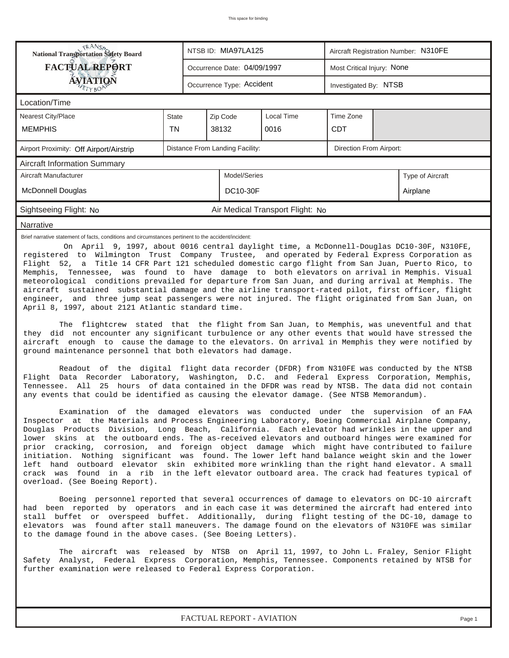| <b>FACTUAL REPORT</b><br>Most Critical Injury: None<br>Occurrence Date: 04/09/1997<br><b>ÁVJATIQN</b><br>Occurrence Type: Accident<br>Investigated By: NTSB<br>Location/Time<br><b>Nearest City/Place</b><br>Local Time<br>Time Zone<br>Zip Code<br><b>State</b><br><b>TN</b><br><b>MEMPHIS</b><br>38132<br><b>CDT</b><br>0016<br>Distance From Landing Facility:<br>Direction From Airport:<br>Airport Proximity: Off Airport/Airstrip<br><b>Aircraft Information Summary</b><br>Model/Series<br>Aircraft Manufacturer<br>Type of Aircraft<br><b>DC10-30F</b><br>Airplane                                                                                                                                                                                                                                                                                                                                                                                                                                                                                                                                                                                                                                                                                                                                                                                                                                                                                                                                                                                                                                                                                                                                                                                                                                                                                                                                                                                                                                                                                                                                                                                                                                                                                                                                                                                                                                                                                                                                                                                                                                                                                                                                                                                                                                                                                                                                                                                                      | <b>National Transportation Safety Board</b> |  |  |  |  |  |  |  |  |
|---------------------------------------------------------------------------------------------------------------------------------------------------------------------------------------------------------------------------------------------------------------------------------------------------------------------------------------------------------------------------------------------------------------------------------------------------------------------------------------------------------------------------------------------------------------------------------------------------------------------------------------------------------------------------------------------------------------------------------------------------------------------------------------------------------------------------------------------------------------------------------------------------------------------------------------------------------------------------------------------------------------------------------------------------------------------------------------------------------------------------------------------------------------------------------------------------------------------------------------------------------------------------------------------------------------------------------------------------------------------------------------------------------------------------------------------------------------------------------------------------------------------------------------------------------------------------------------------------------------------------------------------------------------------------------------------------------------------------------------------------------------------------------------------------------------------------------------------------------------------------------------------------------------------------------------------------------------------------------------------------------------------------------------------------------------------------------------------------------------------------------------------------------------------------------------------------------------------------------------------------------------------------------------------------------------------------------------------------------------------------------------------------------------------------------------------------------------------------------------------------------------------------------------------------------------------------------------------------------------------------------------------------------------------------------------------------------------------------------------------------------------------------------------------------------------------------------------------------------------------------------------------------------------------------------------------------------------------------------|---------------------------------------------|--|--|--|--|--|--|--|--|
|                                                                                                                                                                                                                                                                                                                                                                                                                                                                                                                                                                                                                                                                                                                                                                                                                                                                                                                                                                                                                                                                                                                                                                                                                                                                                                                                                                                                                                                                                                                                                                                                                                                                                                                                                                                                                                                                                                                                                                                                                                                                                                                                                                                                                                                                                                                                                                                                                                                                                                                                                                                                                                                                                                                                                                                                                                                                                                                                                                                 |                                             |  |  |  |  |  |  |  |  |
|                                                                                                                                                                                                                                                                                                                                                                                                                                                                                                                                                                                                                                                                                                                                                                                                                                                                                                                                                                                                                                                                                                                                                                                                                                                                                                                                                                                                                                                                                                                                                                                                                                                                                                                                                                                                                                                                                                                                                                                                                                                                                                                                                                                                                                                                                                                                                                                                                                                                                                                                                                                                                                                                                                                                                                                                                                                                                                                                                                                 |                                             |  |  |  |  |  |  |  |  |
|                                                                                                                                                                                                                                                                                                                                                                                                                                                                                                                                                                                                                                                                                                                                                                                                                                                                                                                                                                                                                                                                                                                                                                                                                                                                                                                                                                                                                                                                                                                                                                                                                                                                                                                                                                                                                                                                                                                                                                                                                                                                                                                                                                                                                                                                                                                                                                                                                                                                                                                                                                                                                                                                                                                                                                                                                                                                                                                                                                                 |                                             |  |  |  |  |  |  |  |  |
|                                                                                                                                                                                                                                                                                                                                                                                                                                                                                                                                                                                                                                                                                                                                                                                                                                                                                                                                                                                                                                                                                                                                                                                                                                                                                                                                                                                                                                                                                                                                                                                                                                                                                                                                                                                                                                                                                                                                                                                                                                                                                                                                                                                                                                                                                                                                                                                                                                                                                                                                                                                                                                                                                                                                                                                                                                                                                                                                                                                 |                                             |  |  |  |  |  |  |  |  |
|                                                                                                                                                                                                                                                                                                                                                                                                                                                                                                                                                                                                                                                                                                                                                                                                                                                                                                                                                                                                                                                                                                                                                                                                                                                                                                                                                                                                                                                                                                                                                                                                                                                                                                                                                                                                                                                                                                                                                                                                                                                                                                                                                                                                                                                                                                                                                                                                                                                                                                                                                                                                                                                                                                                                                                                                                                                                                                                                                                                 |                                             |  |  |  |  |  |  |  |  |
|                                                                                                                                                                                                                                                                                                                                                                                                                                                                                                                                                                                                                                                                                                                                                                                                                                                                                                                                                                                                                                                                                                                                                                                                                                                                                                                                                                                                                                                                                                                                                                                                                                                                                                                                                                                                                                                                                                                                                                                                                                                                                                                                                                                                                                                                                                                                                                                                                                                                                                                                                                                                                                                                                                                                                                                                                                                                                                                                                                                 |                                             |  |  |  |  |  |  |  |  |
|                                                                                                                                                                                                                                                                                                                                                                                                                                                                                                                                                                                                                                                                                                                                                                                                                                                                                                                                                                                                                                                                                                                                                                                                                                                                                                                                                                                                                                                                                                                                                                                                                                                                                                                                                                                                                                                                                                                                                                                                                                                                                                                                                                                                                                                                                                                                                                                                                                                                                                                                                                                                                                                                                                                                                                                                                                                                                                                                                                                 |                                             |  |  |  |  |  |  |  |  |
|                                                                                                                                                                                                                                                                                                                                                                                                                                                                                                                                                                                                                                                                                                                                                                                                                                                                                                                                                                                                                                                                                                                                                                                                                                                                                                                                                                                                                                                                                                                                                                                                                                                                                                                                                                                                                                                                                                                                                                                                                                                                                                                                                                                                                                                                                                                                                                                                                                                                                                                                                                                                                                                                                                                                                                                                                                                                                                                                                                                 |                                             |  |  |  |  |  |  |  |  |
|                                                                                                                                                                                                                                                                                                                                                                                                                                                                                                                                                                                                                                                                                                                                                                                                                                                                                                                                                                                                                                                                                                                                                                                                                                                                                                                                                                                                                                                                                                                                                                                                                                                                                                                                                                                                                                                                                                                                                                                                                                                                                                                                                                                                                                                                                                                                                                                                                                                                                                                                                                                                                                                                                                                                                                                                                                                                                                                                                                                 | McDonnell Douglas                           |  |  |  |  |  |  |  |  |
| Sightseeing Flight: No<br>Air Medical Transport Flight: No                                                                                                                                                                                                                                                                                                                                                                                                                                                                                                                                                                                                                                                                                                                                                                                                                                                                                                                                                                                                                                                                                                                                                                                                                                                                                                                                                                                                                                                                                                                                                                                                                                                                                                                                                                                                                                                                                                                                                                                                                                                                                                                                                                                                                                                                                                                                                                                                                                                                                                                                                                                                                                                                                                                                                                                                                                                                                                                      |                                             |  |  |  |  |  |  |  |  |
| Narrative                                                                                                                                                                                                                                                                                                                                                                                                                                                                                                                                                                                                                                                                                                                                                                                                                                                                                                                                                                                                                                                                                                                                                                                                                                                                                                                                                                                                                                                                                                                                                                                                                                                                                                                                                                                                                                                                                                                                                                                                                                                                                                                                                                                                                                                                                                                                                                                                                                                                                                                                                                                                                                                                                                                                                                                                                                                                                                                                                                       |                                             |  |  |  |  |  |  |  |  |
| Brief narrative statement of facts, conditions and circumstances pertinent to the accident/incident:<br>On April 9, 1997, about 0016 central daylight time, a McDonnell-Douglas DC10-30F, N310FE,<br>registered to Wilmington Trust Company Trustee, and operated by Federal Express Corporation as<br>Flight 52, a Title 14 CFR Part 121 scheduled domestic cargo flight from San Juan, Puerto Rico, to<br>Memphis, Tennessee, was found to have damage to both elevators on arrival in Memphis. Visual<br>meteorological conditions prevailed for departure from San Juan, and during arrival at Memphis. The<br>aircraft sustained substantial damage and the airline transport-rated pilot, first officer, flight<br>engineer, and three jump seat passengers were not injured. The flight originated from San Juan, on<br>April 8, 1997, about 2121 Atlantic standard time.<br>The flightcrew stated that the flight from San Juan, to Memphis, was uneventful and that<br>they did not encounter any significant turbulence or any other events that would have stressed the<br>aircraft enough to cause the damage to the elevators. On arrival in Memphis they were notified by<br>ground maintenance personnel that both elevators had damage.<br>Readout of the digital flight data recorder (DFDR) from N310FE was conducted by the NTSB<br>Flight Data Recorder Laboratory, Washington, D.C. and Federal Express Corporation, Memphis,<br>Tennessee. All 25 hours of data contained in the DFDR was read by NTSB. The data did not contain<br>any events that could be identified as causing the elevator damage. (See NTSB Memorandum).<br>Examination of the damaged elevators was conducted under the supervision of an FAA<br>Inspector at the Materials and Process Engineering Laboratory, Boeing Commercial Airplane Company,<br>Douglas Products Division, Long Beach, California. Each elevator had wrinkles in the upper and<br>lower skins at the outboard ends. The as-received elevators and outboard hinges were examined for<br>prior cracking, corrosion, and foreign object damage which might have contributed to failure<br>initiation. Nothing significant was found. The lower left hand balance weight skin and the lower<br>left hand<br>outboard elevator skin exhibited more wrinkling than the right hand elevator. A small<br>crack was found in a rib in the left elevator outboard area. The crack had features typical of<br>overload. (See Boeing Report).<br>Boeing personnel reported that several occurrences of damage to elevators on DC-10 aircraft<br>had been reported by operators and in each case it was determined the aircraft had entered into<br>stall buffet or overspeed buffet. Additionally, during flight testing of the DC-10, damage to<br>elevators was found after stall maneuvers. The damage found on the elevators of N310FE was similar<br>to the damage found in the above cases. (See Boeing Letters). |                                             |  |  |  |  |  |  |  |  |
| The aircraft was released by NTSB on April 11, 1997, to John L. Fraley, Senior Flight<br>Safety Analyst, Federal Express Corporation, Memphis, Tennessee. Components retained by NTSB for<br>further examination were released to Federal Express Corporation.                                                                                                                                                                                                                                                                                                                                                                                                                                                                                                                                                                                                                                                                                                                                                                                                                                                                                                                                                                                                                                                                                                                                                                                                                                                                                                                                                                                                                                                                                                                                                                                                                                                                                                                                                                                                                                                                                                                                                                                                                                                                                                                                                                                                                                                                                                                                                                                                                                                                                                                                                                                                                                                                                                                  |                                             |  |  |  |  |  |  |  |  |
| FACTUAL REPORT - AVIATION<br>Page 1                                                                                                                                                                                                                                                                                                                                                                                                                                                                                                                                                                                                                                                                                                                                                                                                                                                                                                                                                                                                                                                                                                                                                                                                                                                                                                                                                                                                                                                                                                                                                                                                                                                                                                                                                                                                                                                                                                                                                                                                                                                                                                                                                                                                                                                                                                                                                                                                                                                                                                                                                                                                                                                                                                                                                                                                                                                                                                                                             |                                             |  |  |  |  |  |  |  |  |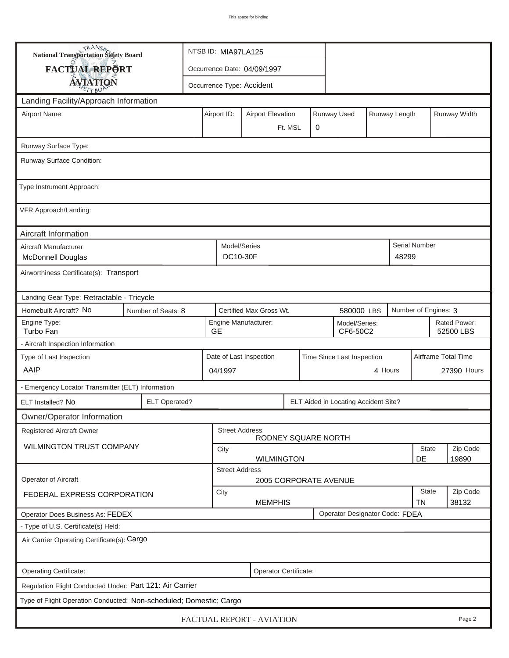| <b>National Transportation Safety Board</b>                                           | NTSB ID: MIA97LA125                                                       |                                                                         |                                   |                           |  |  |                      |  |                           |                   |                      |  |  |
|---------------------------------------------------------------------------------------|---------------------------------------------------------------------------|-------------------------------------------------------------------------|-----------------------------------|---------------------------|--|--|----------------------|--|---------------------------|-------------------|----------------------|--|--|
| <b>FACTUAL REPORT</b>                                                                 |                                                                           | Occurrence Date: 04/09/1997                                             |                                   |                           |  |  |                      |  |                           |                   |                      |  |  |
| <b>AVIATION</b>                                                                       |                                                                           |                                                                         |                                   | Occurrence Type: Accident |  |  |                      |  |                           |                   |                      |  |  |
| Landing Facility/Approach Information                                                 |                                                                           |                                                                         |                                   |                           |  |  |                      |  |                           |                   |                      |  |  |
| <b>Airport Name</b>                                                                   |                                                                           | Runway Used<br>Runway Length<br>Airport ID:<br><b>Airport Elevation</b> |                                   |                           |  |  |                      |  |                           | Runway Width      |                      |  |  |
|                                                                                       |                                                                           |                                                                         | 0<br>Ft. MSL                      |                           |  |  |                      |  |                           |                   |                      |  |  |
| Runway Surface Type:                                                                  |                                                                           |                                                                         |                                   |                           |  |  |                      |  |                           |                   |                      |  |  |
| Runway Surface Condition:                                                             |                                                                           |                                                                         |                                   |                           |  |  |                      |  |                           |                   |                      |  |  |
| Type Instrument Approach:                                                             |                                                                           |                                                                         |                                   |                           |  |  |                      |  |                           |                   |                      |  |  |
| VFR Approach/Landing:                                                                 |                                                                           |                                                                         |                                   |                           |  |  |                      |  |                           |                   |                      |  |  |
| Aircraft Information                                                                  |                                                                           |                                                                         |                                   |                           |  |  |                      |  |                           |                   |                      |  |  |
| Aircraft Manufacturer<br><b>McDonnell Douglas</b>                                     |                                                                           |                                                                         | Model/Series<br>DC10-30F<br>48299 |                           |  |  |                      |  |                           |                   | <b>Serial Number</b> |  |  |
| Airworthiness Certificate(s): Transport                                               |                                                                           |                                                                         |                                   |                           |  |  |                      |  |                           |                   |                      |  |  |
| Landing Gear Type: Retractable - Tricycle                                             |                                                                           |                                                                         |                                   |                           |  |  |                      |  |                           |                   |                      |  |  |
| Homebuilt Aircraft? No<br>Certified Max Gross Wt.<br>Number of Seats: 8<br>580000 LBS |                                                                           |                                                                         |                                   |                           |  |  | Number of Engines: 3 |  |                           |                   |                      |  |  |
| Engine Type:<br>Turbo Fan                                                             | <b>GE</b>                                                                 | Engine Manufacturer:<br>Model/Series:<br>CF6-50C2                       |                                   |                           |  |  |                      |  | Rated Power:<br>52500 LBS |                   |                      |  |  |
| - Aircraft Inspection Information                                                     |                                                                           |                                                                         |                                   |                           |  |  |                      |  |                           |                   |                      |  |  |
| Type of Last Inspection                                                               |                                                                           | Date of Last Inspection<br>Time Since Last Inspection                   |                                   |                           |  |  |                      |  | Airframe Total Time       |                   |                      |  |  |
| AAIP<br>4 Hours<br>04/1997                                                            |                                                                           |                                                                         |                                   |                           |  |  | 27390 Hours          |  |                           |                   |                      |  |  |
| - Emergency Locator Transmitter (ELT) Information                                     |                                                                           |                                                                         |                                   |                           |  |  |                      |  |                           |                   |                      |  |  |
| ELT Installed? No                                                                     | <b>ELT Operated?</b><br>ELT Aided in Locating Accident Site?              |                                                                         |                                   |                           |  |  |                      |  |                           |                   |                      |  |  |
| Owner/Operator Information                                                            |                                                                           |                                                                         |                                   |                           |  |  |                      |  |                           |                   |                      |  |  |
|                                                                                       | Registered Aircraft Owner<br><b>Street Address</b><br>RODNEY SQUARE NORTH |                                                                         |                                   |                           |  |  |                      |  |                           |                   |                      |  |  |
| <b>WILMINGTON TRUST COMPANY</b>                                                       |                                                                           | City<br><b>WILMINGTON</b>                                               |                                   |                           |  |  |                      |  | State                     | Zip Code          |                      |  |  |
|                                                                                       |                                                                           |                                                                         | <b>Street Address</b>             |                           |  |  |                      |  |                           | DE                | 19890                |  |  |
| <b>Operator of Aircraft</b><br>2005 CORPORATE AVENUE                                  |                                                                           |                                                                         |                                   |                           |  |  |                      |  |                           |                   |                      |  |  |
| FEDERAL EXPRESS CORPORATION                                                           |                                                                           | City<br><b>MEMPHIS</b>                                                  |                                   |                           |  |  |                      |  | <b>State</b><br><b>TN</b> | Zip Code<br>38132 |                      |  |  |
| Operator Designator Code: FDEA<br>Operator Does Business As: FEDEX                    |                                                                           |                                                                         |                                   |                           |  |  |                      |  |                           |                   |                      |  |  |
| - Type of U.S. Certificate(s) Held:                                                   |                                                                           |                                                                         |                                   |                           |  |  |                      |  |                           |                   |                      |  |  |
| Air Carrier Operating Certificate(s): Cargo                                           |                                                                           |                                                                         |                                   |                           |  |  |                      |  |                           |                   |                      |  |  |
| Operating Certificate:<br>Operator Certificate:                                       |                                                                           |                                                                         |                                   |                           |  |  |                      |  |                           |                   |                      |  |  |
| Regulation Flight Conducted Under: Part 121: Air Carrier                              |                                                                           |                                                                         |                                   |                           |  |  |                      |  |                           |                   |                      |  |  |
| Type of Flight Operation Conducted: Non-scheduled; Domestic; Cargo                    |                                                                           |                                                                         |                                   |                           |  |  |                      |  |                           |                   |                      |  |  |
| FACTUAL REPORT - AVIATION<br>Page 2                                                   |                                                                           |                                                                         |                                   |                           |  |  |                      |  |                           |                   |                      |  |  |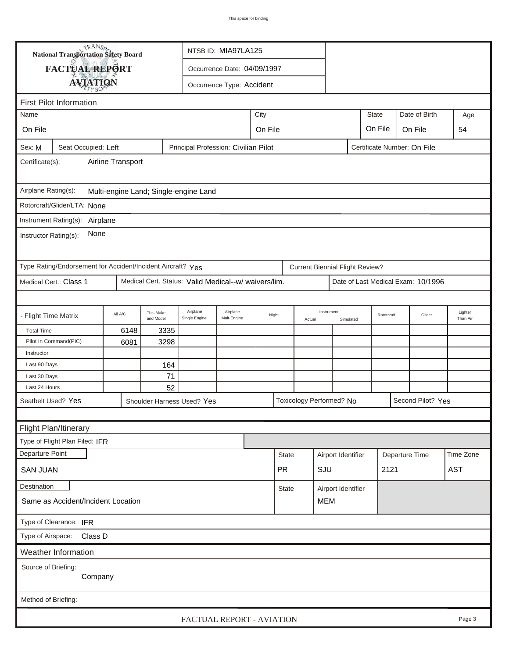| TRANSA<br>NTSB ID: MIA97LA125<br><b>National Transportation Safety Board</b>                         |                                                              |                                                                |      |                                                      |       |              |              |                         |                                        |                    |  |                |                                    |            |
|------------------------------------------------------------------------------------------------------|--------------------------------------------------------------|----------------------------------------------------------------|------|------------------------------------------------------|-------|--------------|--------------|-------------------------|----------------------------------------|--------------------|--|----------------|------------------------------------|------------|
|                                                                                                      | <b>FACTUAL REPORT</b><br>Occurrence Date: 04/09/1997         |                                                                |      |                                                      |       |              |              |                         |                                        |                    |  |                |                                    |            |
| <b>AVIATION</b><br>Occurrence Type: Accident                                                         |                                                              |                                                                |      |                                                      |       |              |              |                         |                                        |                    |  |                |                                    |            |
|                                                                                                      |                                                              |                                                                |      |                                                      |       |              |              |                         |                                        |                    |  |                |                                    |            |
| <b>First Pilot Information</b><br>City<br><b>State</b><br>Date of Birth<br>Name<br>Age               |                                                              |                                                                |      |                                                      |       |              |              |                         |                                        |                    |  |                |                                    |            |
|                                                                                                      |                                                              |                                                                |      |                                                      |       |              |              |                         |                                        |                    |  |                |                                    |            |
|                                                                                                      | On File<br>On File<br>On File<br>On File<br>54               |                                                                |      |                                                      |       |              |              |                         |                                        |                    |  |                |                                    |            |
| Sex: M<br>Seat Occupied: Left<br>Principal Profession: Civilian Pilot<br>Certificate Number: On File |                                                              |                                                                |      |                                                      |       |              |              |                         |                                        |                    |  |                |                                    |            |
| Airline Transport<br>Certificate(s):                                                                 |                                                              |                                                                |      |                                                      |       |              |              |                         |                                        |                    |  |                |                                    |            |
|                                                                                                      | Airplane Rating(s):<br>Multi-engine Land; Single-engine Land |                                                                |      |                                                      |       |              |              |                         |                                        |                    |  |                |                                    |            |
|                                                                                                      | Rotorcraft/Glider/LTA: None                                  |                                                                |      |                                                      |       |              |              |                         |                                        |                    |  |                |                                    |            |
|                                                                                                      | Instrument Rating(s): Airplane                               |                                                                |      |                                                      |       |              |              |                         |                                        |                    |  |                |                                    |            |
| None<br>Instructor Rating(s):                                                                        |                                                              |                                                                |      |                                                      |       |              |              |                         |                                        |                    |  |                |                                    |            |
|                                                                                                      | Type Rating/Endorsement for Accident/Incident Aircraft? Yes  |                                                                |      |                                                      |       |              |              |                         | <b>Current Biennial Flight Review?</b> |                    |  |                |                                    |            |
|                                                                                                      | Medical Cert.: Class 1                                       |                                                                |      | Medical Cert. Status: Valid Medical--w/ waivers/lim. |       |              |              |                         |                                        |                    |  |                | Date of Last Medical Exam: 10/1996 |            |
|                                                                                                      |                                                              |                                                                |      |                                                      |       |              |              |                         |                                        |                    |  |                |                                    |            |
| - Flight Time Matrix                                                                                 |                                                              | Airplane<br>This Make<br>All A/C<br>and Model<br>Single Engine |      | Airplane<br>Mult-Engine                              | Night |              | Actual       | Instrument<br>Simulated |                                        | Rotorcraft         |  | Glider         | Lighter<br>Than Air                |            |
| <b>Total Time</b>                                                                                    |                                                              | 6148                                                           | 3335 |                                                      |       |              |              |                         |                                        |                    |  |                |                                    |            |
|                                                                                                      | Pilot In Command(PIC)<br>6081<br>3298                        |                                                                |      |                                                      |       |              |              |                         |                                        |                    |  |                |                                    |            |
| Instructor                                                                                           |                                                              |                                                                |      |                                                      |       |              |              |                         |                                        |                    |  |                |                                    |            |
| Last 90 Days                                                                                         |                                                              |                                                                | 164  |                                                      |       |              |              |                         |                                        |                    |  |                |                                    |            |
| Last 30 Days                                                                                         |                                                              |                                                                | 71   |                                                      |       |              |              |                         |                                        |                    |  |                |                                    |            |
| 52<br>Last 24 Hours                                                                                  |                                                              |                                                                |      |                                                      |       |              |              |                         |                                        |                    |  |                |                                    |            |
| Seatbelt Used? Yes<br>Toxicology Performed? No<br>Second Pilot? Yes<br>Shoulder Harness Used? Yes    |                                                              |                                                                |      |                                                      |       |              |              |                         |                                        |                    |  |                |                                    |            |
|                                                                                                      |                                                              |                                                                |      |                                                      |       |              |              |                         |                                        |                    |  |                |                                    |            |
|                                                                                                      | Flight Plan/Itinerary                                        |                                                                |      |                                                      |       |              |              |                         |                                        |                    |  |                |                                    |            |
|                                                                                                      | Type of Flight Plan Filed: IFR                               |                                                                |      |                                                      |       |              |              |                         |                                        |                    |  |                |                                    |            |
| Departure Point                                                                                      |                                                              |                                                                |      |                                                      |       |              | <b>State</b> |                         |                                        | Airport Identifier |  | Departure Time |                                    | Time Zone  |
| <b>SAN JUAN</b>                                                                                      |                                                              |                                                                |      |                                                      |       |              | <b>PR</b>    |                         | SJU                                    |                    |  | 2121           |                                    | <b>AST</b> |
| Destination                                                                                          |                                                              |                                                                |      |                                                      |       | <b>State</b> |              |                         | Airport Identifier                     |                    |  |                |                                    |            |
| Same as Accident/Incident Location                                                                   |                                                              |                                                                |      |                                                      |       |              | <b>MEM</b>   |                         |                                        |                    |  |                |                                    |            |
| Type of Clearance: IFR                                                                               |                                                              |                                                                |      |                                                      |       |              |              |                         |                                        |                    |  |                |                                    |            |
| Type of Airspace: Class D                                                                            |                                                              |                                                                |      |                                                      |       |              |              |                         |                                        |                    |  |                |                                    |            |
| Weather Information                                                                                  |                                                              |                                                                |      |                                                      |       |              |              |                         |                                        |                    |  |                |                                    |            |
| Source of Briefing:                                                                                  |                                                              |                                                                |      |                                                      |       |              |              |                         |                                        |                    |  |                |                                    |            |
| Company                                                                                              |                                                              |                                                                |      |                                                      |       |              |              |                         |                                        |                    |  |                |                                    |            |
| Method of Briefing:                                                                                  |                                                              |                                                                |      |                                                      |       |              |              |                         |                                        |                    |  |                |                                    |            |
|                                                                                                      |                                                              |                                                                |      |                                                      |       |              |              |                         |                                        |                    |  |                |                                    |            |
|                                                                                                      |                                                              |                                                                |      | FACTUAL REPORT - AVIATION                            |       |              |              |                         |                                        |                    |  |                |                                    | Page 3     |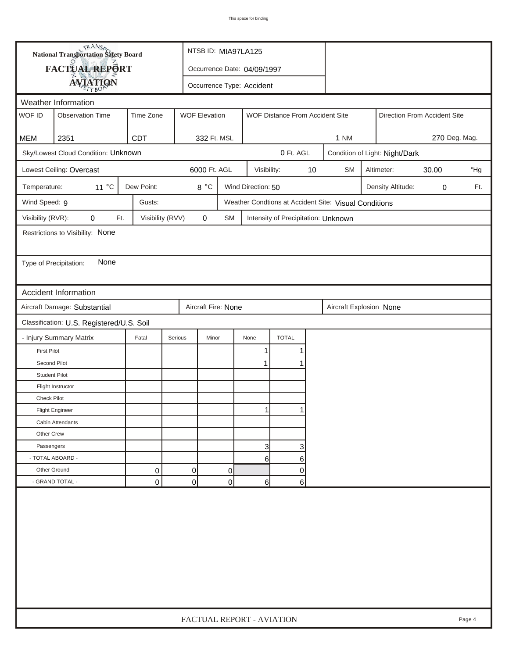| <b>National Transportation Safety Board</b><br>FACTUAL REPORT<br>Occurrence Date: 04/09/1997<br><b>AVIATION</b><br>Occurrence Type: Accident<br>Weather Information<br>WOF ID<br><b>WOF Elevation</b><br><b>Observation Time</b><br>Time Zone<br>WOF Distance From Accident Site<br>Direction From Accident Site<br><b>MEM</b><br>2351<br><b>CDT</b><br>332 Ft. MSL<br>1 NM<br>Sky/Lowest Cloud Condition: Unknown<br>0 Ft. AGL<br>Condition of Light: Night/Dark<br>Lowest Ceiling: Overcast<br>6000 Ft. AGL<br>$10$<br>Visibility:<br><b>SM</b><br>Altimeter:<br>30.00<br>11 °C<br>Dew Point:<br>8 °C<br>Wind Direction: 50<br>Temperature:<br>Density Altitude:<br>0<br>Wind Speed: 9<br>Gusts:<br>Weather Condtions at Accident Site: Visual Conditions<br>Visibility (RVR):<br>0<br>Visibility (RVV)<br>$\pmb{0}$<br>Ft.<br>SM<br>Intensity of Precipitation: Unknown<br>Restrictions to Visibility: None<br>None<br>Type of Precipitation:<br><b>Accident Information</b><br>Aircraft Damage: Substantial<br>Aircraft Fire: None<br>Aircraft Explosion None<br>Classification: U.S. Registered/U.S. Soil<br><b>TOTAL</b><br>- Injury Summary Matrix<br>Fatal<br>Serious<br>Minor<br>None<br><b>First Pilot</b><br>1 | 270 Deg. Mag.<br>"Hg<br>Ft. |  |  |  |  |  |  |  |  |  |
|---------------------------------------------------------------------------------------------------------------------------------------------------------------------------------------------------------------------------------------------------------------------------------------------------------------------------------------------------------------------------------------------------------------------------------------------------------------------------------------------------------------------------------------------------------------------------------------------------------------------------------------------------------------------------------------------------------------------------------------------------------------------------------------------------------------------------------------------------------------------------------------------------------------------------------------------------------------------------------------------------------------------------------------------------------------------------------------------------------------------------------------------------------------------------------------------------------------------------|-----------------------------|--|--|--|--|--|--|--|--|--|
|                                                                                                                                                                                                                                                                                                                                                                                                                                                                                                                                                                                                                                                                                                                                                                                                                                                                                                                                                                                                                                                                                                                                                                                                                           |                             |  |  |  |  |  |  |  |  |  |
|                                                                                                                                                                                                                                                                                                                                                                                                                                                                                                                                                                                                                                                                                                                                                                                                                                                                                                                                                                                                                                                                                                                                                                                                                           |                             |  |  |  |  |  |  |  |  |  |
|                                                                                                                                                                                                                                                                                                                                                                                                                                                                                                                                                                                                                                                                                                                                                                                                                                                                                                                                                                                                                                                                                                                                                                                                                           |                             |  |  |  |  |  |  |  |  |  |
|                                                                                                                                                                                                                                                                                                                                                                                                                                                                                                                                                                                                                                                                                                                                                                                                                                                                                                                                                                                                                                                                                                                                                                                                                           |                             |  |  |  |  |  |  |  |  |  |
|                                                                                                                                                                                                                                                                                                                                                                                                                                                                                                                                                                                                                                                                                                                                                                                                                                                                                                                                                                                                                                                                                                                                                                                                                           |                             |  |  |  |  |  |  |  |  |  |
|                                                                                                                                                                                                                                                                                                                                                                                                                                                                                                                                                                                                                                                                                                                                                                                                                                                                                                                                                                                                                                                                                                                                                                                                                           |                             |  |  |  |  |  |  |  |  |  |
|                                                                                                                                                                                                                                                                                                                                                                                                                                                                                                                                                                                                                                                                                                                                                                                                                                                                                                                                                                                                                                                                                                                                                                                                                           |                             |  |  |  |  |  |  |  |  |  |
|                                                                                                                                                                                                                                                                                                                                                                                                                                                                                                                                                                                                                                                                                                                                                                                                                                                                                                                                                                                                                                                                                                                                                                                                                           |                             |  |  |  |  |  |  |  |  |  |
|                                                                                                                                                                                                                                                                                                                                                                                                                                                                                                                                                                                                                                                                                                                                                                                                                                                                                                                                                                                                                                                                                                                                                                                                                           |                             |  |  |  |  |  |  |  |  |  |
|                                                                                                                                                                                                                                                                                                                                                                                                                                                                                                                                                                                                                                                                                                                                                                                                                                                                                                                                                                                                                                                                                                                                                                                                                           |                             |  |  |  |  |  |  |  |  |  |
|                                                                                                                                                                                                                                                                                                                                                                                                                                                                                                                                                                                                                                                                                                                                                                                                                                                                                                                                                                                                                                                                                                                                                                                                                           |                             |  |  |  |  |  |  |  |  |  |
|                                                                                                                                                                                                                                                                                                                                                                                                                                                                                                                                                                                                                                                                                                                                                                                                                                                                                                                                                                                                                                                                                                                                                                                                                           |                             |  |  |  |  |  |  |  |  |  |
|                                                                                                                                                                                                                                                                                                                                                                                                                                                                                                                                                                                                                                                                                                                                                                                                                                                                                                                                                                                                                                                                                                                                                                                                                           |                             |  |  |  |  |  |  |  |  |  |
|                                                                                                                                                                                                                                                                                                                                                                                                                                                                                                                                                                                                                                                                                                                                                                                                                                                                                                                                                                                                                                                                                                                                                                                                                           |                             |  |  |  |  |  |  |  |  |  |
|                                                                                                                                                                                                                                                                                                                                                                                                                                                                                                                                                                                                                                                                                                                                                                                                                                                                                                                                                                                                                                                                                                                                                                                                                           |                             |  |  |  |  |  |  |  |  |  |
|                                                                                                                                                                                                                                                                                                                                                                                                                                                                                                                                                                                                                                                                                                                                                                                                                                                                                                                                                                                                                                                                                                                                                                                                                           |                             |  |  |  |  |  |  |  |  |  |
|                                                                                                                                                                                                                                                                                                                                                                                                                                                                                                                                                                                                                                                                                                                                                                                                                                                                                                                                                                                                                                                                                                                                                                                                                           |                             |  |  |  |  |  |  |  |  |  |
|                                                                                                                                                                                                                                                                                                                                                                                                                                                                                                                                                                                                                                                                                                                                                                                                                                                                                                                                                                                                                                                                                                                                                                                                                           |                             |  |  |  |  |  |  |  |  |  |
|                                                                                                                                                                                                                                                                                                                                                                                                                                                                                                                                                                                                                                                                                                                                                                                                                                                                                                                                                                                                                                                                                                                                                                                                                           |                             |  |  |  |  |  |  |  |  |  |
|                                                                                                                                                                                                                                                                                                                                                                                                                                                                                                                                                                                                                                                                                                                                                                                                                                                                                                                                                                                                                                                                                                                                                                                                                           |                             |  |  |  |  |  |  |  |  |  |
| Second Pilot<br>$\mathbf 1$                                                                                                                                                                                                                                                                                                                                                                                                                                                                                                                                                                                                                                                                                                                                                                                                                                                                                                                                                                                                                                                                                                                                                                                               |                             |  |  |  |  |  |  |  |  |  |
| <b>Student Pilot</b>                                                                                                                                                                                                                                                                                                                                                                                                                                                                                                                                                                                                                                                                                                                                                                                                                                                                                                                                                                                                                                                                                                                                                                                                      |                             |  |  |  |  |  |  |  |  |  |
| Flight Instructor                                                                                                                                                                                                                                                                                                                                                                                                                                                                                                                                                                                                                                                                                                                                                                                                                                                                                                                                                                                                                                                                                                                                                                                                         |                             |  |  |  |  |  |  |  |  |  |
| <b>Check Pilot</b>                                                                                                                                                                                                                                                                                                                                                                                                                                                                                                                                                                                                                                                                                                                                                                                                                                                                                                                                                                                                                                                                                                                                                                                                        |                             |  |  |  |  |  |  |  |  |  |
| <b>Flight Engineer</b>                                                                                                                                                                                                                                                                                                                                                                                                                                                                                                                                                                                                                                                                                                                                                                                                                                                                                                                                                                                                                                                                                                                                                                                                    |                             |  |  |  |  |  |  |  |  |  |
| Cabin Attendants                                                                                                                                                                                                                                                                                                                                                                                                                                                                                                                                                                                                                                                                                                                                                                                                                                                                                                                                                                                                                                                                                                                                                                                                          |                             |  |  |  |  |  |  |  |  |  |
| Other Crew                                                                                                                                                                                                                                                                                                                                                                                                                                                                                                                                                                                                                                                                                                                                                                                                                                                                                                                                                                                                                                                                                                                                                                                                                |                             |  |  |  |  |  |  |  |  |  |
| Passengers<br>3<br>3                                                                                                                                                                                                                                                                                                                                                                                                                                                                                                                                                                                                                                                                                                                                                                                                                                                                                                                                                                                                                                                                                                                                                                                                      |                             |  |  |  |  |  |  |  |  |  |
| - TOTAL ABOARD -<br>6<br>6                                                                                                                                                                                                                                                                                                                                                                                                                                                                                                                                                                                                                                                                                                                                                                                                                                                                                                                                                                                                                                                                                                                                                                                                |                             |  |  |  |  |  |  |  |  |  |
| 0<br>Other Ground<br>0<br>0<br>0                                                                                                                                                                                                                                                                                                                                                                                                                                                                                                                                                                                                                                                                                                                                                                                                                                                                                                                                                                                                                                                                                                                                                                                          |                             |  |  |  |  |  |  |  |  |  |
| - GRAND TOTAL -<br>0<br>$\overline{0}$<br>0<br>6<br>6                                                                                                                                                                                                                                                                                                                                                                                                                                                                                                                                                                                                                                                                                                                                                                                                                                                                                                                                                                                                                                                                                                                                                                     |                             |  |  |  |  |  |  |  |  |  |